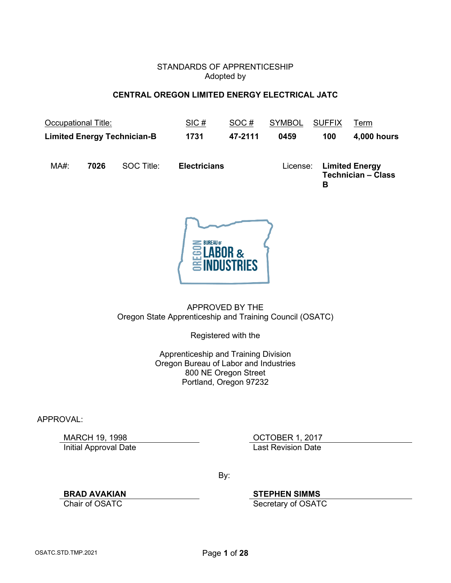#### STANDARDS OF APPRENTICESHIP Adopted by

#### **CENTRAL OREGON LIMITED ENERGY ELECTRICAL JATC**

<span id="page-0-0"></span>

| Occupational Title:<br><b>Limited Energy Technician-B</b> |      |            | SIC#<br>SOC#        |         | <b>SYMBOL</b> | <b>SUFFIX</b> | Term                                               |  |
|-----------------------------------------------------------|------|------------|---------------------|---------|---------------|---------------|----------------------------------------------------|--|
|                                                           |      |            | 1731                | 47-2111 | 0459          | 100           | 4,000 hours                                        |  |
| $MA#$ :                                                   | 7026 | SOC Title: | <b>Electricians</b> |         | License:      | в             | <b>Limited Energy</b><br><b>Technician - Class</b> |  |



APPROVED BY THE Oregon State Apprenticeship and Training Council (OSATC)

Registered with the

Apprenticeship and Training Division Oregon Bureau of Labor and Industries 800 NE Oregon Street Portland, Oregon 97232

APPROVAL:

Initial Approval Date **Last Revision Date** 

MARCH 19, 1998 **OCTOBER 1, 2017** 

By:

**BRAD AVAKIAN**<br> **Chair of OSATC**<br> **Secretary of OSATC** 

Secretary of OSATC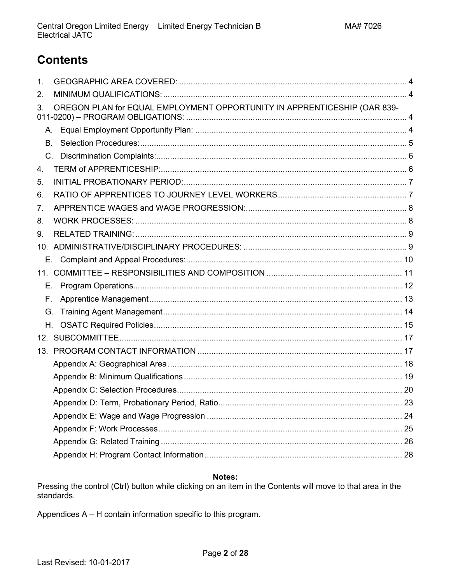# <span id="page-1-0"></span>**Contents**

| 1.        |                                                                          |  |
|-----------|--------------------------------------------------------------------------|--|
| 2.        |                                                                          |  |
| 3.        | OREGON PLAN for EQUAL EMPLOYMENT OPPORTUNITY IN APPRENTICESHIP (OAR 839- |  |
| A.        |                                                                          |  |
| <b>B.</b> |                                                                          |  |
|           |                                                                          |  |
| 4.        |                                                                          |  |
| 5.        |                                                                          |  |
| 6.        |                                                                          |  |
| 7.        |                                                                          |  |
| 8.        |                                                                          |  |
| 9.        |                                                                          |  |
|           |                                                                          |  |
|           |                                                                          |  |
|           |                                                                          |  |
| Е.        |                                                                          |  |
| Е.        |                                                                          |  |
| G.        |                                                                          |  |
| H.        |                                                                          |  |
|           |                                                                          |  |
|           |                                                                          |  |
|           |                                                                          |  |
|           |                                                                          |  |
|           |                                                                          |  |
|           |                                                                          |  |
|           |                                                                          |  |
|           |                                                                          |  |
|           |                                                                          |  |
|           |                                                                          |  |

#### Notes:

Pressing the control (Ctrl) button while clicking on an item in the Contents will move to that area in the standards.

Appendices A - H contain information specific to this program.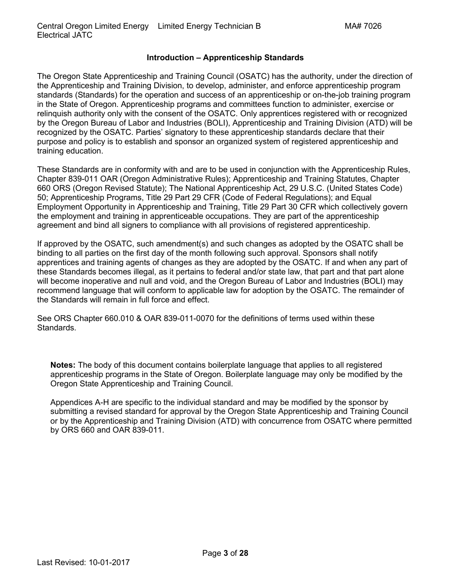### **Introduction – Apprenticeship Standards**

The Oregon State Apprenticeship and Training Council (OSATC) has the authority, under the direction of the Apprenticeship and Training Division, to develop, administer, and enforce apprenticeship program standards (Standards) for the operation and success of an apprenticeship or on-the-job training program in the State of Oregon. Apprenticeship programs and committees function to administer, exercise or relinquish authority only with the consent of the OSATC. Only apprentices registered with or recognized by the Oregon Bureau of Labor and Industries (BOLI), Apprenticeship and Training Division (ATD) will be recognized by the OSATC. Parties' signatory to these apprenticeship standards declare that their purpose and policy is to establish and sponsor an organized system of registered apprenticeship and training education.

These Standards are in conformity with and are to be used in conjunction with the Apprenticeship Rules, Chapter 839-011 OAR (Oregon Administrative Rules); Apprenticeship and Training Statutes, Chapter 660 ORS (Oregon Revised Statute); The National Apprenticeship Act, 29 U.S.C. (United States Code) 50; Apprenticeship Programs, Title 29 Part 29 CFR (Code of Federal Regulations); and Equal Employment Opportunity in Apprenticeship and Training, Title 29 Part 30 CFR which collectively govern the employment and training in apprenticeable occupations. They are part of the apprenticeship agreement and bind all signers to compliance with all provisions of registered apprenticeship.

If approved by the OSATC, such amendment(s) and such changes as adopted by the OSATC shall be binding to all parties on the first day of the month following such approval. Sponsors shall notify apprentices and training agents of changes as they are adopted by the OSATC. If and when any part of these Standards becomes illegal, as it pertains to federal and/or state law, that part and that part alone will become inoperative and null and void, and the Oregon Bureau of Labor and Industries (BOLI) may recommend language that will conform to applicable law for adoption by the OSATC. The remainder of the Standards will remain in full force and effect.

See ORS Chapter 660.010 & OAR 839-011-0070 for the definitions of terms used within these Standards.

**Notes:** The body of this document contains boilerplate language that applies to all registered apprenticeship programs in the State of Oregon. Boilerplate language may only be modified by the Oregon State Apprenticeship and Training Council.

Appendices A-H are specific to the individual standard and may be modified by the sponsor by submitting a revised standard for approval by the Oregon State Apprenticeship and Training Council or by the Apprenticeship and Training Division (ATD) with concurrence from OSATC where permitted by ORS 660 and OAR 839-011.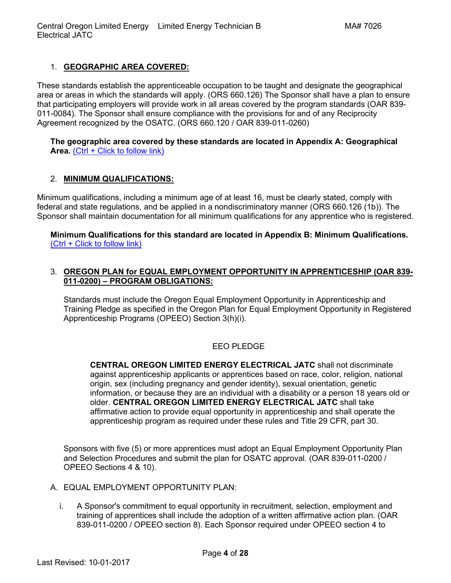# <span id="page-3-0"></span>1. **[GEOGRAPHIC AREA COVERED:](#page-1-0)**

These standards establish the apprenticeable occupation to be taught and designate the geographical area or areas in which the standards will apply. (ORS 660.126) The Sponsor shall have a plan to ensure that participating employers will provide work in all areas covered by the program standards (OAR 839- 011-0084). The Sponsor shall ensure compliance with the provisions for and of any Reciprocity Agreement recognized by the OSATC. (ORS 660.120 / OAR 839-011-0260)

#### **[The geographic area covered by these standards are](#page-17-0) located in Appendix A: Geographical**  [Area.](#page-17-0) [\(Ctrl + Click to follow link\)](#page-17-0)

#### <span id="page-3-1"></span>2. **[MINIMUM QUALIFICATIONS:](#page-1-0)**

Minimum qualifications, including a minimum age of at least 16, must be clearly stated, comply with federal and state regulations, and be applied in a nondiscriminatory manner (ORS 660.126 (1b)). The Sponsor shall maintain documentation for all minimum qualifications for any apprentice who is registered.

**[Minimum Qualifications for this standard are located in Appendix B: Minimum Qualifications.](#page-18-0)** [\(Ctrl + Click to follow link\)](#page-18-0)

#### <span id="page-3-2"></span>3. **[OREGON PLAN for EQUAL EMPLOYMENT OPPORTUNITY IN APPRENTICESHIP \(OAR 839-](#page-1-0) 011-0200) – [PROGRAM OBLIGATIONS:](#page-1-0)**

Standards must include the Oregon Equal Employment Opportunity in Apprenticeship and Training Pledge as specified in the Oregon Plan for Equal Employment Opportunity in Registered Apprenticeship Programs (OPEEO) Section 3(h)(i).

#### EEO PLEDGE

**CENTRAL OREGON LIMITED ENERGY ELECTRICAL JATC** shall not discriminate against apprenticeship applicants or apprentices based on race, color, religion, national origin, sex (including pregnancy and gender identity), sexual orientation, genetic information, or because they are an individual with a disability or a person 18 years old or older. **CENTRAL OREGON LIMITED ENERGY ELECTRICAL JATC** shall take affirmative action to provide equal opportunity in apprenticeship and shall operate the apprenticeship program as required under these rules and Title 29 CFR, part 30.

Sponsors with five (5) or more apprentices must adopt an Equal Employment Opportunity Plan and Selection Procedures and submit the plan for OSATC approval. (OAR 839-011-0200 / OPEEO Sections 4 & 10).

- <span id="page-3-3"></span>A. EQUAL EMPLOYMENT OPPORTUNITY PLAN:
	- i. A Sponsor's commitment to equal opportunity in recruitment, selection, employment and training of apprentices shall include the adoption of a written affirmative action plan. (OAR 839-011-0200 / OPEEO section 8). Each Sponsor required under OPEEO section 4 to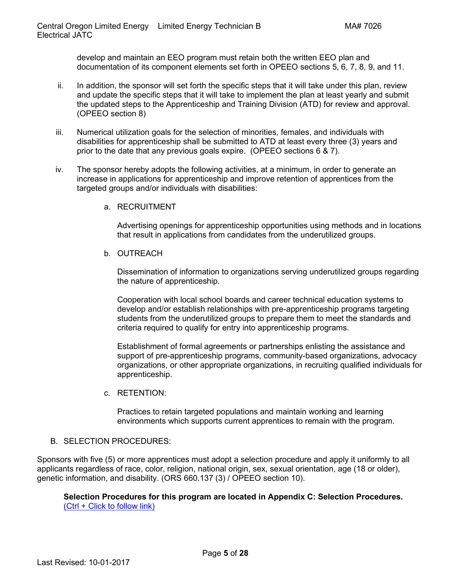develop and maintain an EEO program must retain both the written EEO plan and documentation of its component elements set forth in OPEEO sections 5, 6, 7, 8, 9, and 11.

- ii. In addition, the sponsor will set forth the specific steps that it will take under this plan, review and update the specific steps that it will take to implement the plan at least yearly and submit the updated steps to the Apprenticeship and Training Division (ATD) for review and approval. (OPEEO section 8)
- iii. Numerical utilization goals for the selection of minorities, females, and individuals with disabilities for apprenticeship shall be submitted to ATD at least every three (3) years and prior to the date that any previous goals expire. (OPEEO sections 6 & 7).
- iv. The sponsor hereby adopts the following activities, at a minimum, in order to generate an increase in applications for apprenticeship and improve retention of apprentices from the targeted groups and/or individuals with disabilities:
	- a. RECRUITMENT

Advertising openings for apprenticeship opportunities using methods and in locations that result in applications from candidates from the underutilized groups.

b. OUTREACH

Dissemination of information to organizations serving underutilized groups regarding the nature of apprenticeship.

Cooperation with local school boards and career technical education systems to develop and/or establish relationships with pre-apprenticeship programs targeting students from the underutilized groups to prepare them to meet the standards and criteria required to qualify for entry into apprenticeship programs.

Establishment of formal agreements or partnerships enlisting the assistance and support of pre-apprenticeship programs, community-based organizations, advocacy organizations, or other appropriate organizations, in recruiting qualified individuals for apprenticeship.

c. RETENTION:

Practices to retain targeted populations and maintain working and learning environments which supports current apprentices to remain with the program.

#### <span id="page-4-0"></span>B. SELECTION PROCEDURES:

Sponsors with five (5) or more apprentices must adopt a selection procedure and apply it uniformly to all applicants regardless of race, color, religion, national origin, sex, sexual orientation, age (18 or older), genetic information, and disability. (ORS 660.137 (3) / OPEEO section 10).

**[Selection Procedures for this program are located in Appendix C: Selection Procedures.](#page-19-0)** [\(Ctrl + Click to follow link\)](#page-19-0)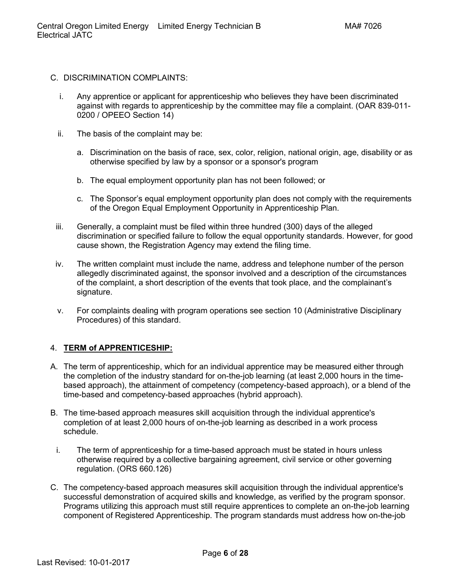- <span id="page-5-0"></span>C. DISCRIMINATION COMPLAINTS:
	- i. Any apprentice or applicant for apprenticeship who believes they have been discriminated against with regards to apprenticeship by the committee may file a complaint. (OAR 839-011- 0200 / OPEEO Section 14)
	- ii. The basis of the complaint may be:
		- a. Discrimination on the basis of race, sex, color, religion, national origin, age, disability or as otherwise specified by law by a sponsor or a sponsor's program
		- b. The equal employment opportunity plan has not been followed; or
		- c. The Sponsor's equal employment opportunity plan does not comply with the requirements of the Oregon Equal Employment Opportunity in Apprenticeship Plan.
	- iii. Generally, a complaint must be filed within three hundred (300) days of the alleged discrimination or specified failure to follow the equal opportunity standards. However, for good cause shown, the Registration Agency may extend the filing time.
	- iv. The written complaint must include the name, address and telephone number of the person allegedly discriminated against, the sponsor involved and a description of the circumstances of the complaint, a short description of the events that took place, and the complainant's signature.
	- v. For complaints dealing with program operations see section 10 (Administrative Disciplinary Procedures) of this standard.

#### <span id="page-5-1"></span>4. **[TERM of APPRENTICESHIP:](#page-1-0)**

- A. The term of apprenticeship, which for an individual apprentice may be measured either through the completion of the industry standard for on-the-job learning (at least 2,000 hours in the timebased approach), the attainment of competency (competency-based approach), or a blend of the time-based and competency-based approaches (hybrid approach).
- B. The time-based approach measures skill acquisition through the individual apprentice's completion of at least 2,000 hours of on-the-job learning as described in a work process schedule.
	- i. The term of apprenticeship for a time-based approach must be stated in hours unless otherwise required by a collective bargaining agreement, civil service or other governing regulation. (ORS 660.126)
- C. The competency-based approach measures skill acquisition through the individual apprentice's successful demonstration of acquired skills and knowledge, as verified by the program sponsor. Programs utilizing this approach must still require apprentices to complete an on-the-job learning component of Registered Apprenticeship. The program standards must address how on-the-job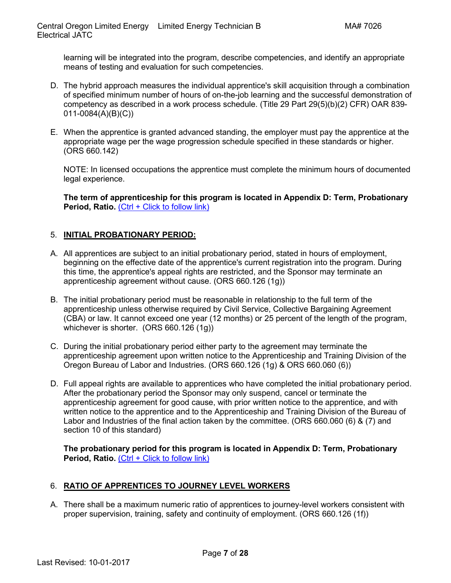learning will be integrated into the program, describe competencies, and identify an appropriate means of testing and evaluation for such competencies.

- D. The hybrid approach measures the individual apprentice's skill acquisition through a combination of specified minimum number of hours of on-the-job learning and the successful demonstration of competency as described in a work process schedule. (Title 29 Part 29(5)(b)(2) CFR) OAR 839- 011-0084(A)(B)(C))
- E. When the apprentice is granted advanced standing, the employer must pay the apprentice at the appropriate wage per the wage progression schedule specified in these standards or higher. (ORS 660.142)

NOTE: In licensed occupations the apprentice must complete the minimum hours of documented legal experience.

**[The term of apprenticeship for this program is located in Appendix D: Term, Probationary](#page-22-0)  [Period, Ratio.](#page-22-0)** [\(Ctrl + Click to follow link\)](#page-22-0)

# <span id="page-6-0"></span>5. **[INITIAL PROBATIONARY PERIOD:](#page-1-0)**

- A. All apprentices are subject to an initial probationary period, stated in hours of employment, beginning on the effective date of the apprentice's current registration into the program. During this time, the apprentice's appeal rights are restricted, and the Sponsor may terminate an apprenticeship agreement without cause. (ORS 660.126 (1g))
- B. The initial probationary period must be reasonable in relationship to the full term of the apprenticeship unless otherwise required by Civil Service, Collective Bargaining Agreement (CBA) or law. It cannot exceed one year (12 months) or 25 percent of the length of the program, whichever is shorter. (ORS 660.126 (1g))
- C. During the initial probationary period either party to the agreement may terminate the apprenticeship agreement upon written notice to the Apprenticeship and Training Division of the Oregon Bureau of Labor and Industries. (ORS 660.126 (1g) & ORS 660.060 (6))
- D. Full appeal rights are available to apprentices who have completed the initial probationary period. After the probationary period the Sponsor may only suspend, cancel or terminate the apprenticeship agreement for good cause, with prior written notice to the apprentice, and with written notice to the apprentice and to the Apprenticeship and Training Division of the Bureau of Labor and Industries of the final action taken by the committee. (ORS 660.060 (6) & (7) and section 10 of this standard)

**[The probationary period for this program is located in Appendix D: Term, Probationary](#page-22-0)  [Period, Ratio.](#page-22-0)** [\(Ctrl + Click to follow link\)](#page-22-0)

#### <span id="page-6-1"></span>6. **[RATIO OF APPRENTICES TO JOURNEY LEVEL WORKERS](#page-1-0)**

A. There shall be a maximum numeric ratio of apprentices to journey-level workers consistent with proper supervision, training, safety and continuity of employment. (ORS 660.126 (1f))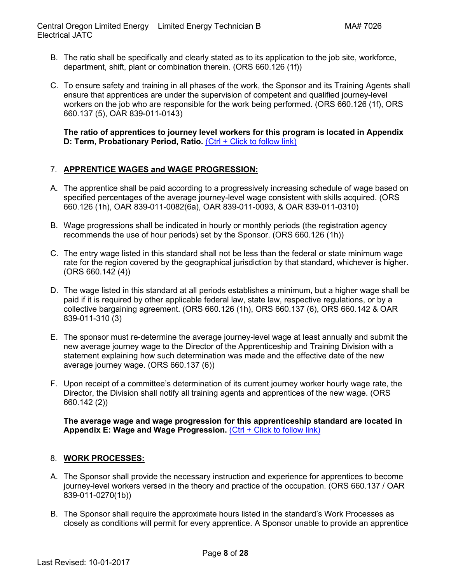- B. The ratio shall be specifically and clearly stated as to its application to the job site, workforce, department, shift, plant or combination therein. (ORS 660.126 (1f))
- C. To ensure safety and training in all phases of the work, the Sponsor and its Training Agents shall ensure that apprentices are under the supervision of competent and qualified journey-level workers on the job who are responsible for the work being performed. (ORS 660.126 (1f), ORS 660.137 (5), OAR 839-011-0143)

**[The ratio of apprentices to journey level workers for this program is located in Appendix](#page-22-0)  [D: Term, Probationary Period, Ratio.](#page-22-0) [\(Ctrl + Click to follow link\)](#page-22-0)** 

# <span id="page-7-0"></span>7. **[APPRENTICE WAGES and WAGE PROGRESSION:](#page-1-0)**

- A. The apprentice shall be paid according to a progressively increasing schedule of wage based on specified percentages of the average journey-level wage consistent with skills acquired. (ORS 660.126 (1h), OAR 839-011-0082(6a), OAR 839-011-0093, & OAR 839-011-0310)
- B. Wage progressions shall be indicated in hourly or monthly periods (the registration agency recommends the use of hour periods) set by the Sponsor. (ORS 660.126 (1h))
- C. The entry wage listed in this standard shall not be less than the federal or state minimum wage rate for the region covered by the geographical jurisdiction by that standard, whichever is higher.  $(ORS 660.142 (4))$
- D. The wage listed in this standard at all periods establishes a minimum, but a higher wage shall be paid if it is required by other applicable federal law, state law, respective regulations, or by a collective bargaining agreement. (ORS 660.126 (1h), ORS 660.137 (6), ORS 660.142 & OAR 839-011-310 (3)
- E. The sponsor must re-determine the average journey-level wage at least annually and submit the new average journey wage to the Director of the Apprenticeship and Training Division with a statement explaining how such determination was made and the effective date of the new average journey wage. (ORS 660.137 (6))
- F. Upon receipt of a committee's determination of its current journey worker hourly wage rate, the Director, the Division shall notify all training agents and apprentices of the new wage. (ORS 660.142 (2))

**[The average wage and wage progression for this apprenticeship standard are located in](#page-23-0)  Appendix E: Wage [and Wage Progression.](#page-23-0)** [\(Ctrl + Click to follow link\)](#page-23-0)

#### <span id="page-7-1"></span>8. **[WORK PROCESSES:](#page-1-0)**

- A. The Sponsor shall provide the necessary instruction and experience for apprentices to become journey-level workers versed in the theory and practice of the occupation. (ORS 660.137 / OAR 839-011-0270(1b))
- B. The Sponsor shall require the approximate hours listed in the standard's Work Processes as closely as conditions will permit for every apprentice. A Sponsor unable to provide an apprentice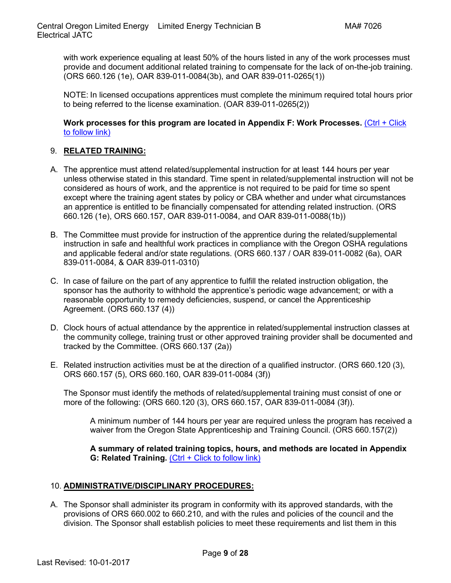with work experience equaling at least 50% of the hours listed in any of the work processes must provide and document additional related training to compensate for the lack of on-the-job training. (ORS 660.126 (1e), OAR 839-011-0084(3b), and OAR 839-011-0265(1))

NOTE: In licensed occupations apprentices must complete the minimum required total hours prior to being referred to the license examination. (OAR 839-011-0265(2))

**[Work processes for this program are located in Appendix F: Work Processes.](#page-24-0)** [\(Ctrl + Click](#page-24-0)  [to follow link\)](#page-24-0)

# <span id="page-8-0"></span>9. **RELATED [TRAINING:](#page-1-0)**

- A. The apprentice must attend related/supplemental instruction for at least 144 hours per year unless otherwise stated in this standard. Time spent in related/supplemental instruction will not be considered as hours of work, and the apprentice is not required to be paid for time so spent except where the training agent states by policy or CBA whether and under what circumstances an apprentice is entitled to be financially compensated for attending related instruction. (ORS 660.126 (1e), ORS 660.157, OAR 839-011-0084, and OAR 839-011-0088(1b))
- B. The Committee must provide for instruction of the apprentice during the related/supplemental instruction in safe and healthful work practices in compliance with the Oregon OSHA regulations and applicable federal and/or state regulations. (ORS 660.137 / OAR 839-011-0082 (6a), OAR 839-011-0084, & OAR 839-011-0310)
- C. In case of failure on the part of any apprentice to fulfill the related instruction obligation, the sponsor has the authority to withhold the apprentice's periodic wage advancement; or with a reasonable opportunity to remedy deficiencies, suspend, or cancel the Apprenticeship Agreement. (ORS 660.137 (4))
- D. Clock hours of actual attendance by the apprentice in related/supplemental instruction classes at the community college, training trust or other approved training provider shall be documented and tracked by the Committee. (ORS 660.137 (2a))
- E. Related instruction activities must be at the direction of a qualified instructor. (ORS 660.120 (3), ORS 660.157 (5), ORS 660.160, OAR 839-011-0084 (3f))

The Sponsor must identify the methods of related/supplemental training must consist of one or more of the following: (ORS 660.120 (3), ORS 660.157, OAR 839-011-0084 (3f)).

A minimum number of 144 hours per year are required unless the program has received a waiver from the Oregon State Apprenticeship and Training Council. (ORS 660.157(2))

**[A summary of related training topics,](#page-25-0) hours, and methods are located in Appendix [G: Related Training.](#page-25-0)** [\(Ctrl + Click to follow link\)](#page-25-0)

#### <span id="page-8-1"></span>10. **[ADMINISTRATIVE/DISCIPLINARY PROCEDURES:](#page-1-0)**

A. The Sponsor shall administer its program in conformity with its approved standards, with the provisions of ORS 660.002 to 660.210, and with the rules and policies of the council and the division. The Sponsor shall establish policies to meet these requirements and list them in this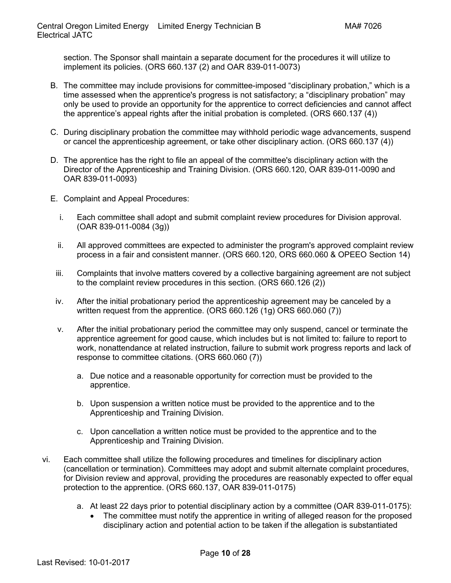section. The Sponsor shall maintain a separate document for the procedures it will utilize to implement its policies. (ORS 660.137 (2) and OAR 839-011-0073)

- B. The committee may include provisions for committee-imposed "disciplinary probation," which is a time assessed when the apprentice's progress is not satisfactory; a "disciplinary probation" may only be used to provide an opportunity for the apprentice to correct deficiencies and cannot affect the apprentice's appeal rights after the initial probation is completed. (ORS 660.137 (4))
- C. During disciplinary probation the committee may withhold periodic wage advancements, suspend or cancel the apprenticeship agreement, or take other disciplinary action. (ORS 660.137 (4))
- D. The apprentice has the right to file an appeal of the committee's disciplinary action with the Director of the Apprenticeship and Training Division. (ORS 660.120, OAR 839-011-0090 and OAR 839-011-0093)
- <span id="page-9-0"></span>E. Complaint and Appeal Procedures:
	- i. Each committee shall adopt and submit complaint review procedures for Division approval. (OAR 839-011-0084 (3g))
	- ii. All approved committees are expected to administer the program's approved complaint review process in a fair and consistent manner. (ORS 660.120, ORS 660.060 & OPEEO Section 14)
	- iii. Complaints that involve matters covered by a collective bargaining agreement are not subject to the complaint review procedures in this section. (ORS 660.126 (2))
	- iv. After the initial probationary period the apprenticeship agreement may be canceled by a written request from the apprentice. (ORS 660.126 (1g) ORS 660.060 (7))
	- v. After the initial probationary period the committee may only suspend, cancel or terminate the apprentice agreement for good cause, which includes but is not limited to: failure to report to work, nonattendance at related instruction, failure to submit work progress reports and lack of response to committee citations. (ORS 660.060 (7))
		- a. Due notice and a reasonable opportunity for correction must be provided to the apprentice.
		- b. Upon suspension a written notice must be provided to the apprentice and to the Apprenticeship and Training Division.
		- c. Upon cancellation a written notice must be provided to the apprentice and to the Apprenticeship and Training Division.
- vi. Each committee shall utilize the following procedures and timelines for disciplinary action (cancellation or termination). Committees may adopt and submit alternate complaint procedures, for Division review and approval, providing the procedures are reasonably expected to offer equal protection to the apprentice. (ORS 660.137, OAR 839-011-0175)
	- a. At least 22 days prior to potential disciplinary action by a committee (OAR 839-011-0175):
		- The committee must notify the apprentice in writing of alleged reason for the proposed disciplinary action and potential action to be taken if the allegation is substantiated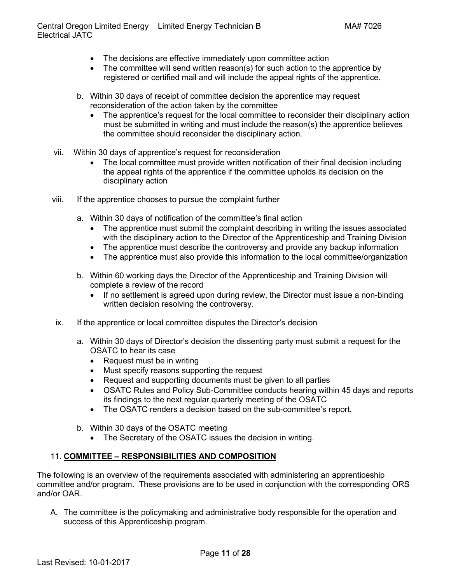- The decisions are effective immediately upon committee action
- The committee will send written reason(s) for such action to the apprentice by registered or certified mail and will include the appeal rights of the apprentice.
- b. Within 30 days of receipt of committee decision the apprentice may request reconsideration of the action taken by the committee
	- The apprentice's request for the local committee to reconsider their disciplinary action must be submitted in writing and must include the reason(s) the apprentice believes the committee should reconsider the disciplinary action.
- vii. Within 30 days of apprentice's request for reconsideration
	- The local committee must provide written notification of their final decision including the appeal rights of the apprentice if the committee upholds its decision on the disciplinary action
- viii. If the apprentice chooses to pursue the complaint further
	- a. Within 30 days of notification of the committee's final action
		- The apprentice must submit the complaint describing in writing the issues associated with the disciplinary action to the Director of the Apprenticeship and Training Division
		- The apprentice must describe the controversy and provide any backup information
		- The apprentice must also provide this information to the local committee/organization
	- b. Within 60 working days the Director of the Apprenticeship and Training Division will complete a review of the record
		- If no settlement is agreed upon during review, the Director must issue a non-binding written decision resolving the controversy.
- ix. If the apprentice or local committee disputes the Director's decision
	- a. Within 30 days of Director's decision the dissenting party must submit a request for the OSATC to hear its case
		- Request must be in writing
		- Must specify reasons supporting the request
		- Request and supporting documents must be given to all parties
		- OSATC Rules and Policy Sub-Committee conducts hearing within 45 days and reports its findings to the next regular quarterly meeting of the OSATC
		- The OSATC renders a decision based on the sub-committee's report.
	- b. Within 30 days of the OSATC meeting
		- The Secretary of the OSATC issues the decision in writing.

#### <span id="page-10-0"></span>11. **COMMITTEE – [RESPONSIBILITIES AND COMPOSITION](#page-1-0)**

The following is an overview of the requirements associated with administering an apprenticeship committee and/or program. These provisions are to be used in conjunction with the corresponding ORS and/or OAR.

A. The committee is the policymaking and administrative body responsible for the operation and success of this Apprenticeship program.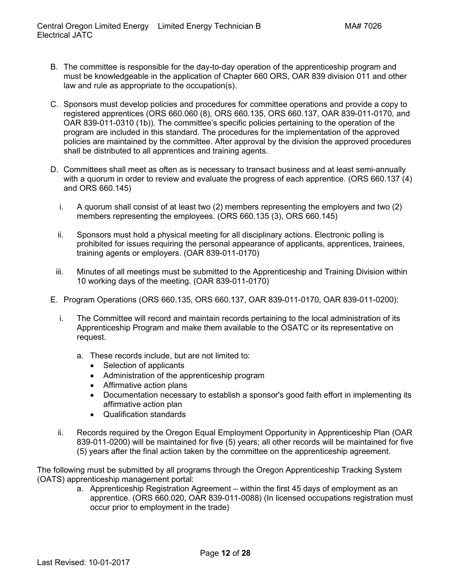- B. The committee is responsible for the day-to-day operation of the apprenticeship program and must be knowledgeable in the application of Chapter 660 ORS, OAR 839 division 011 and other law and rule as appropriate to the occupation(s).
- C. Sponsors must develop policies and procedures for committee operations and provide a copy to registered apprentices (ORS 660.060 (8), ORS 660.135, ORS 660.137, OAR 839-011-0170, and OAR 839-011-0310 (1b)). The committee's specific policies pertaining to the operation of the program are included in this standard. The procedures for the implementation of the approved policies are maintained by the committee. After approval by the division the approved procedures shall be distributed to all apprentices and training agents.
- D. Committees shall meet as often as is necessary to transact business and at least semi-annually with a quorum in order to review and evaluate the progress of each apprentice. (ORS 660.137 (4) and ORS 660.145)
	- i. A quorum shall consist of at least two (2) members representing the employers and two (2) members representing the employees. (ORS 660.135 (3), ORS 660.145)
	- ii. Sponsors must hold a physical meeting for all disciplinary actions. Electronic polling is prohibited for issues requiring the personal appearance of applicants, apprentices, trainees, training agents or employers. (OAR 839-011-0170)
	- iii. Minutes of all meetings must be submitted to the Apprenticeship and Training Division within 10 working days of the meeting. (OAR 839-011-0170)
- <span id="page-11-0"></span>E. Program Operations (ORS 660.135, ORS 660.137, OAR 839-011-0170, OAR 839-011-0200):
	- i. The Committee will record and maintain records pertaining to the local administration of its Apprenticeship Program and make them available to the OSATC or its representative on request.
		- a. These records include, but are not limited to:
			- Selection of applicants
			- Administration of the apprenticeship program
			- Affirmative action plans
			- Documentation necessary to establish a sponsor's good faith effort in implementing its affirmative action plan
			- Qualification standards
	- ii. Records required by the Oregon Equal Employment Opportunity in Apprenticeship Plan (OAR 839-011-0200) will be maintained for five (5) years; all other records will be maintained for five (5) years after the final action taken by the committee on the apprenticeship agreement.

The following must be submitted by all programs through the Oregon Apprenticeship Tracking System (OATS) apprenticeship management portal:

a. Apprenticeship Registration Agreement – within the first 45 days of employment as an apprentice. (ORS 660.020, OAR 839-011-0088) (In licensed occupations registration must occur prior to employment in the trade)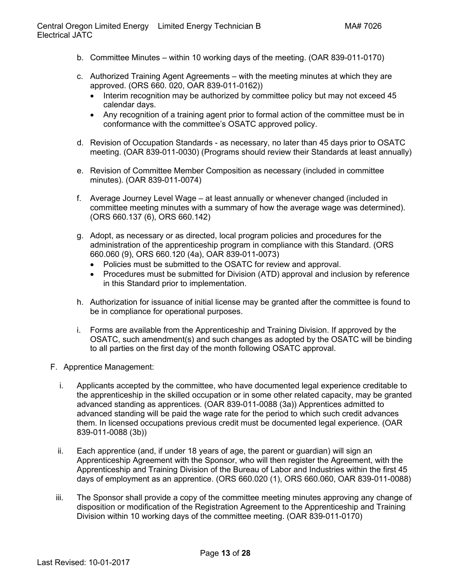- b. Committee Minutes within 10 working days of the meeting. (OAR 839-011-0170)
- c. Authorized Training Agent Agreements with the meeting minutes at which they are approved. (ORS 660. 020, OAR 839-011-0162))
	- Interim recognition may be authorized by committee policy but may not exceed 45 calendar days.
	- Any recognition of a training agent prior to formal action of the committee must be in conformance with the committee's OSATC approved policy.
- d. Revision of Occupation Standards as necessary, no later than 45 days prior to OSATC meeting. (OAR 839-011-0030) (Programs should review their Standards at least annually)
- e. Revision of Committee Member Composition as necessary (included in committee minutes). (OAR 839-011-0074)
- f. Average Journey Level Wage at least annually or whenever changed (included in committee meeting minutes with a summary of how the average wage was determined). (ORS 660.137 (6), ORS 660.142)
- g. Adopt, as necessary or as directed, local program policies and procedures for the administration of the apprenticeship program in compliance with this Standard. (ORS 660.060 (9), ORS 660.120 (4a), OAR 839-011-0073)
	- Policies must be submitted to the OSATC for review and approval.
	- Procedures must be submitted for Division (ATD) approval and inclusion by reference in this Standard prior to implementation.
- h. Authorization for issuance of initial license may be granted after the committee is found to be in compliance for operational purposes.
- i. Forms are available from the Apprenticeship and Training Division. If approved by the OSATC, such amendment(s) and such changes as adopted by the OSATC will be binding to all parties on the first day of the month following OSATC approval.
- <span id="page-12-0"></span>F. Apprentice Management:
	- i. Applicants accepted by the committee, who have documented legal experience creditable to the apprenticeship in the skilled occupation or in some other related capacity, may be granted advanced standing as apprentices. (OAR 839-011-0088 (3a)) Apprentices admitted to advanced standing will be paid the wage rate for the period to which such credit advances them. In licensed occupations previous credit must be documented legal experience. (OAR 839-011-0088 (3b))
	- ii. Each apprentice (and, if under 18 years of age, the parent or guardian) will sign an Apprenticeship Agreement with the Sponsor, who will then register the Agreement, with the Apprenticeship and Training Division of the Bureau of Labor and Industries within the first 45 days of employment as an apprentice. (ORS 660.020 (1), ORS 660.060, OAR 839-011-0088)
	- iii. The Sponsor shall provide a copy of the committee meeting minutes approving any change of disposition or modification of the Registration Agreement to the Apprenticeship and Training Division within 10 working days of the committee meeting. (OAR 839-011-0170)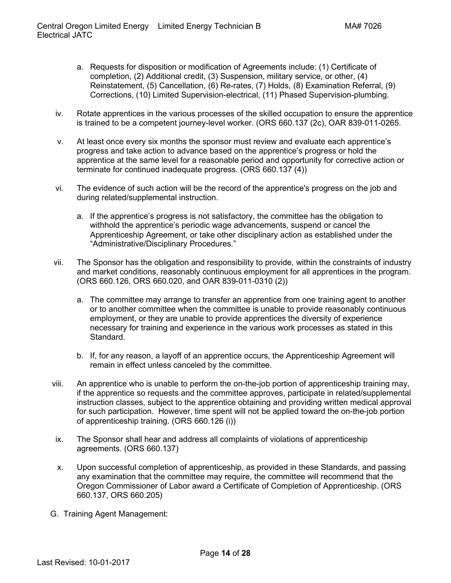- a. Requests for disposition or modification of Agreements include: (1) Certificate of completion, (2) Additional credit, (3) Suspension, military service, or other, (4) Reinstatement, (5) Cancellation, (6) Re-rates, (7) Holds, (8) Examination Referral, (9) Corrections, (10) Limited Supervision-electrical, (11) Phased Supervision-plumbing.
- iv. Rotate apprentices in the various processes of the skilled occupation to ensure the apprentice is trained to be a competent journey-level worker. (ORS 660.137 (2c), OAR 839-011-0265.
- v. At least once every six months the sponsor must review and evaluate each apprentice's progress and take action to advance based on the apprentice's progress or hold the apprentice at the same level for a reasonable period and opportunity for corrective action or terminate for continued inadequate progress. (ORS 660.137 (4))
- vi. The evidence of such action will be the record of the apprentice's progress on the job and during related/supplemental instruction.
	- a. If the apprentice's progress is not satisfactory, the committee has the obligation to withhold the apprentice's periodic wage advancements, suspend or cancel the Apprenticeship Agreement, or take other disciplinary action as established under the "Administrative/Disciplinary Procedures."
- vii. The Sponsor has the obligation and responsibility to provide, within the constraints of industry and market conditions, reasonably continuous employment for all apprentices in the program. (ORS 660.126, ORS 660.020, and OAR 839-011-0310 (2))
	- a. The committee may arrange to transfer an apprentice from one training agent to another or to another committee when the committee is unable to provide reasonably continuous employment, or they are unable to provide apprentices the diversity of experience necessary for training and experience in the various work processes as stated in this Standard.
	- b. If, for any reason, a layoff of an apprentice occurs, the Apprenticeship Agreement will remain in effect unless canceled by the committee.
- viii. An apprentice who is unable to perform the on-the-job portion of apprenticeship training may, if the apprentice so requests and the committee approves, participate in related/supplemental instruction classes, subject to the apprentice obtaining and providing written medical approval for such participation. However, time spent will not be applied toward the on-the-job portion of apprenticeship training. (ORS 660.126 (i))
- ix. The Sponsor shall hear and address all complaints of violations of apprenticeship agreements. (ORS 660.137)
- x. Upon successful completion of apprenticeship, as provided in these Standards, and passing any examination that the committee may require, the committee will recommend that the Oregon Commissioner of Labor award a Certificate of Completion of Apprenticeship. (ORS 660.137, ORS 660.205)
- <span id="page-13-0"></span>G. Training Agent Management: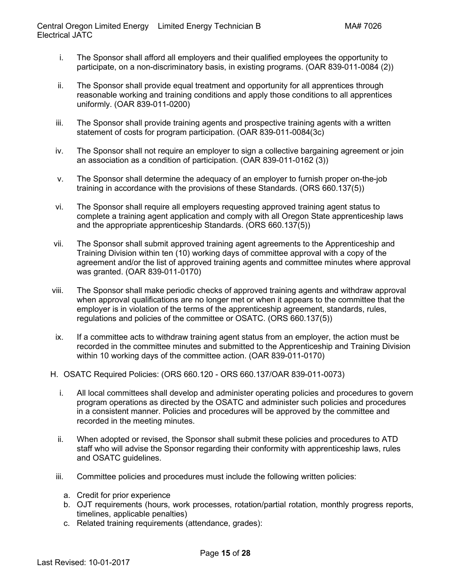- i. The Sponsor shall afford all employers and their qualified employees the opportunity to participate, on a non-discriminatory basis, in existing programs. (OAR 839-011-0084 (2))
- ii. The Sponsor shall provide equal treatment and opportunity for all apprentices through reasonable working and training conditions and apply those conditions to all apprentices uniformly. (OAR 839-011-0200)
- iii. The Sponsor shall provide training agents and prospective training agents with a written statement of costs for program participation. (OAR 839-011-0084(3c)
- iv. The Sponsor shall not require an employer to sign a collective bargaining agreement or join an association as a condition of participation. (OAR 839-011-0162 (3))
- v. The Sponsor shall determine the adequacy of an employer to furnish proper on-the-job training in accordance with the provisions of these Standards. (ORS 660.137(5))
- vi. The Sponsor shall require all employers requesting approved training agent status to complete a training agent application and comply with all Oregon State apprenticeship laws and the appropriate apprenticeship Standards. (ORS 660.137(5))
- vii. The Sponsor shall submit approved training agent agreements to the Apprenticeship and Training Division within ten (10) working days of committee approval with a copy of the agreement and/or the list of approved training agents and committee minutes where approval was granted. (OAR 839-011-0170)
- viii. The Sponsor shall make periodic checks of approved training agents and withdraw approval when approval qualifications are no longer met or when it appears to the committee that the employer is in violation of the terms of the apprenticeship agreement, standards, rules, regulations and policies of the committee or OSATC. (ORS 660.137(5))
- ix. If a committee acts to withdraw training agent status from an employer, the action must be recorded in the committee minutes and submitted to the Apprenticeship and Training Division within 10 working days of the committee action. (OAR 839-011-0170)
- <span id="page-14-0"></span>H. OSATC Required Policies: (ORS 660.120 - ORS 660.137/OAR 839-011-0073)
	- i. All local committees shall develop and administer operating policies and procedures to govern program operations as directed by the OSATC and administer such policies and procedures in a consistent manner. Policies and procedures will be approved by the committee and recorded in the meeting minutes.
	- ii. When adopted or revised, the Sponsor shall submit these policies and procedures to ATD staff who will advise the Sponsor regarding their conformity with apprenticeship laws, rules and OSATC guidelines.
	- iii. Committee policies and procedures must include the following written policies:
		- a. Credit for prior experience
		- b. OJT requirements (hours, work processes, rotation/partial rotation, monthly progress reports, timelines, applicable penalties)
		- c. Related training requirements (attendance, grades):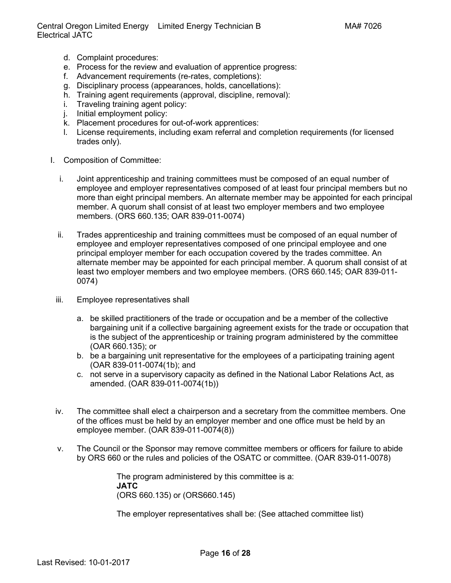Central Oregon Limited Energy Limited Energy Technician B MA# 7026 Electrical JATC

- d. Complaint procedures:
- e. Process for the review and evaluation of apprentice progress:
- f. Advancement requirements (re-rates, completions):
- g. Disciplinary process (appearances, holds, cancellations):
- h. Training agent requirements (approval, discipline, removal):
- i. Traveling training agent policy:
- j. Initial employment policy:
- k. Placement procedures for out-of-work apprentices:
- l. License requirements, including exam referral and completion requirements (for licensed trades only).
- I. Composition of Committee:
	- i. Joint apprenticeship and training committees must be composed of an equal number of employee and employer representatives composed of at least four principal members but no more than eight principal members. An alternate member may be appointed for each principal member. A quorum shall consist of at least two employer members and two employee members. (ORS 660.135; OAR 839-011-0074)
	- ii. Trades apprenticeship and training committees must be composed of an equal number of employee and employer representatives composed of one principal employee and one principal employer member for each occupation covered by the trades committee. An alternate member may be appointed for each principal member. A quorum shall consist of at least two employer members and two employee members. (ORS 660.145; OAR 839-011- 0074)
	- iii. Employee representatives shall
		- a. be skilled practitioners of the trade or occupation and be a member of the collective bargaining unit if a collective bargaining agreement exists for the trade or occupation that is the subject of the apprenticeship or training program administered by the committee (OAR 660.135); or
		- b. be a bargaining unit representative for the employees of a participating training agent (OAR 839-011-0074(1b); and
		- c. not serve in a supervisory capacity as defined in the National Labor Relations Act, as amended. (OAR 839-011-0074(1b))
	- iv. The committee shall elect a chairperson and a secretary from the committee members. One of the offices must be held by an employer member and one office must be held by an employee member. (OAR 839-011-0074(8))
	- v. The Council or the Sponsor may remove committee members or officers for failure to abide by ORS 660 or the rules and policies of the OSATC or committee. (OAR 839-011-0078)

The program administered by this committee is a: **JATC**  (ORS 660.135) or (ORS660.145)

The employer representatives shall be: (See attached committee list)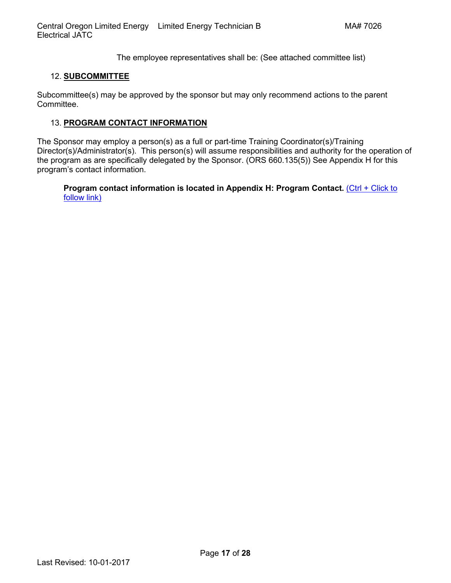The employee representatives shall be: (See attached committee list)

# <span id="page-16-0"></span>12. **[SUBCOMMITTEE](#page-1-0)**

Subcommittee(s) may be approved by the sponsor but may only recommend actions to the parent Committee.

### <span id="page-16-1"></span>13. **[PROGRAM CONTACT INFORMATION](#page-1-0)**

The Sponsor may employ a person(s) as a full or part-time Training Coordinator(s)/Training Director(s)/Administrator(s). This person(s) will assume responsibilities and authority for the operation of the program as are specifically delegated by the Sponsor. (ORS 660.135(5)) See Appendix H for this [program's contact information.](#page-27-0)

**[Program contact information is located in Appendix H: Program Contact.](#page-27-0)** (Ctrl + Click to [follow link\)](#page-27-0)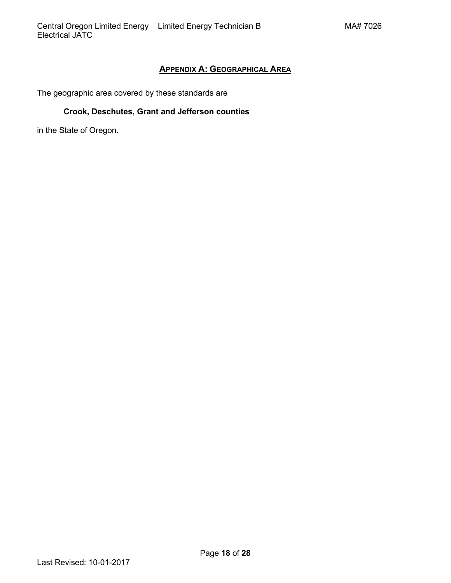# **APPENDIX A: [GEOGRAPHICAL AREA](#page-0-0)**

<span id="page-17-0"></span>The geographic area covered by these standards are

# **Crook, Deschutes, Grant and Jefferson counties**

in the State of Oregon.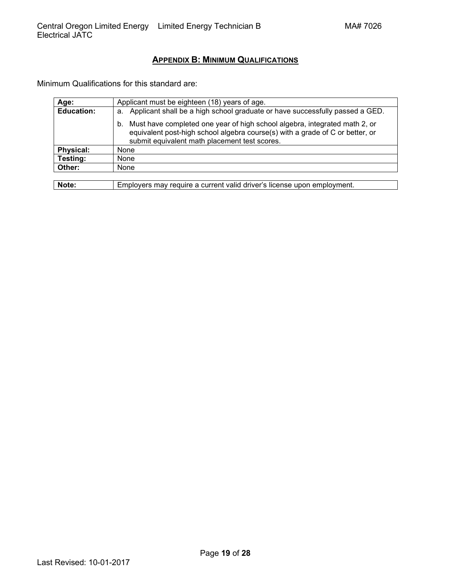# **APPENDIX B: [MINIMUM QUALIFICATIONS](#page-1-0)**

<span id="page-18-0"></span>Minimum Qualifications for this standard are:

| Age:              | Applicant must be eighteen (18) years of age.                                                                                                                                                                      |  |  |
|-------------------|--------------------------------------------------------------------------------------------------------------------------------------------------------------------------------------------------------------------|--|--|
| <b>Education:</b> | Applicant shall be a high school graduate or have successfully passed a GED.<br>а.                                                                                                                                 |  |  |
|                   | Must have completed one year of high school algebra, integrated math 2, or<br>b.<br>equivalent post-high school algebra course(s) with a grade of C or better, or<br>submit equivalent math placement test scores. |  |  |
| <b>Physical:</b>  | None                                                                                                                                                                                                               |  |  |
| Testing:          | None                                                                                                                                                                                                               |  |  |
| Other:            | None                                                                                                                                                                                                               |  |  |
|                   |                                                                                                                                                                                                                    |  |  |

**Note:** Employers may require a current valid driver's license upon employment.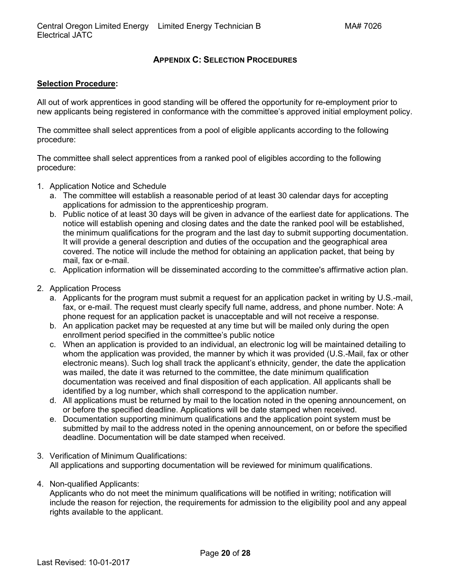# **APPENDIX C: [SELECTION PROCEDURES](#page-1-0)**

#### <span id="page-19-0"></span>**Selection Procedure:**

All out of work apprentices in good standing will be offered the opportunity for re-employment prior to new applicants being registered in conformance with the committee's approved initial employment policy.

The committee shall select apprentices from a pool of eligible applicants according to the following procedure:

The committee shall select apprentices from a ranked pool of eligibles according to the following procedure:

- 1. Application Notice and Schedule
	- a. The committee will establish a reasonable period of at least 30 calendar days for accepting applications for admission to the apprenticeship program.
	- b. Public notice of at least 30 days will be given in advance of the earliest date for applications. The notice will establish opening and closing dates and the date the ranked pool will be established, the minimum qualifications for the program and the last day to submit supporting documentation. It will provide a general description and duties of the occupation and the geographical area covered. The notice will include the method for obtaining an application packet, that being by mail, fax or e-mail.
	- c. Application information will be disseminated according to the committee's affirmative action plan.
- 2. Application Process
	- a. Applicants for the program must submit a request for an application packet in writing by U.S.-mail, fax, or e-mail. The request must clearly specify full name, address, and phone number. Note: A phone request for an application packet is unacceptable and will not receive a response.
	- b. An application packet may be requested at any time but will be mailed only during the open enrollment period specified in the committee's public notice
	- c. When an application is provided to an individual, an electronic log will be maintained detailing to whom the application was provided, the manner by which it was provided (U.S.-Mail, fax or other electronic means). Such log shall track the applicant's ethnicity, gender, the date the application was mailed, the date it was returned to the committee, the date minimum qualification documentation was received and final disposition of each application. All applicants shall be identified by a log number, which shall correspond to the application number.
	- d. All applications must be returned by mail to the location noted in the opening announcement, on or before the specified deadline. Applications will be date stamped when received.
	- e. Documentation supporting minimum qualifications and the application point system must be submitted by mail to the address noted in the opening announcement, on or before the specified deadline. Documentation will be date stamped when received.
- 3. Verification of Minimum Qualifications: All applications and supporting documentation will be reviewed for minimum qualifications.
- 4. Non-qualified Applicants:

Applicants who do not meet the minimum qualifications will be notified in writing; notification will include the reason for rejection, the requirements for admission to the eligibility pool and any appeal rights available to the applicant.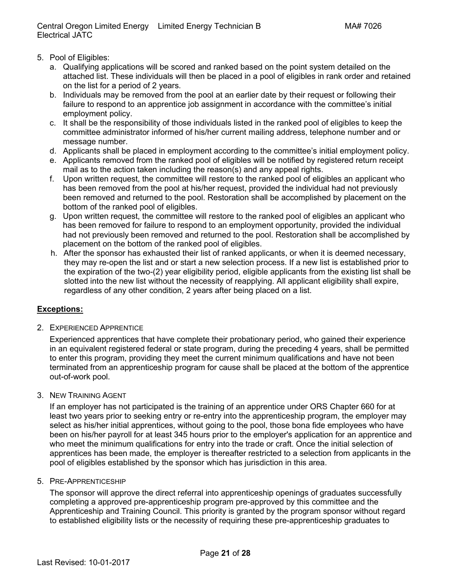- 5. Pool of Eligibles:
	- a. Qualifying applications will be scored and ranked based on the point system detailed on the attached list. These individuals will then be placed in a pool of eligibles in rank order and retained on the list for a period of 2 years.
	- b. Individuals may be removed from the pool at an earlier date by their request or following their failure to respond to an apprentice job assignment in accordance with the committee's initial employment policy.
	- c. It shall be the responsibility of those individuals listed in the ranked pool of eligibles to keep the committee administrator informed of his/her current mailing address, telephone number and or message number.
	- d. Applicants shall be placed in employment according to the committee's initial employment policy.
	- e. Applicants removed from the ranked pool of eligibles will be notified by registered return receipt mail as to the action taken including the reason(s) and any appeal rights.
	- f. Upon written request, the committee will restore to the ranked pool of eligibles an applicant who has been removed from the pool at his/her request, provided the individual had not previously been removed and returned to the pool. Restoration shall be accomplished by placement on the bottom of the ranked pool of eligibles.
	- g. Upon written request, the committee will restore to the ranked pool of eligibles an applicant who has been removed for failure to respond to an employment opportunity, provided the individual had not previously been removed and returned to the pool. Restoration shall be accomplished by placement on the bottom of the ranked pool of eligibles.
	- h. After the sponsor has exhausted their list of ranked applicants, or when it is deemed necessary, they may re-open the list and or start a new selection process. If a new list is established prior to the expiration of the two-(2) year eligibility period, eligible applicants from the existing list shall be slotted into the new list without the necessity of reapplying. All applicant eligibility shall expire, regardless of any other condition, 2 years after being placed on a list.

# **Exceptions:**

2. EXPERIENCED APPRENTICE

Experienced apprentices that have complete their probationary period, who gained their experience in an equivalent registered federal or state program, during the preceding 4 years, shall be permitted to enter this program, providing they meet the current minimum qualifications and have not been terminated from an apprenticeship program for cause shall be placed at the bottom of the apprentice out-of-work pool.

3. NEW TRAINING AGENT

If an employer has not participated is the training of an apprentice under ORS Chapter 660 for at least two years prior to seeking entry or re-entry into the apprenticeship program, the employer may select as his/her initial apprentices, without going to the pool, those bona fide employees who have been on his/her payroll for at least 345 hours prior to the employer's application for an apprentice and who meet the minimum qualifications for entry into the trade or craft. Once the initial selection of apprentices has been made, the employer is thereafter restricted to a selection from applicants in the pool of eligibles established by the sponsor which has jurisdiction in this area.

5. PRE-APPRENTICESHIP

The sponsor will approve the direct referral into apprenticeship openings of graduates successfully completing a approved pre-apprenticeship program pre-approved by this committee and the Apprenticeship and Training Council. This priority is granted by the program sponsor without regard to established eligibility lists or the necessity of requiring these pre-apprenticeship graduates to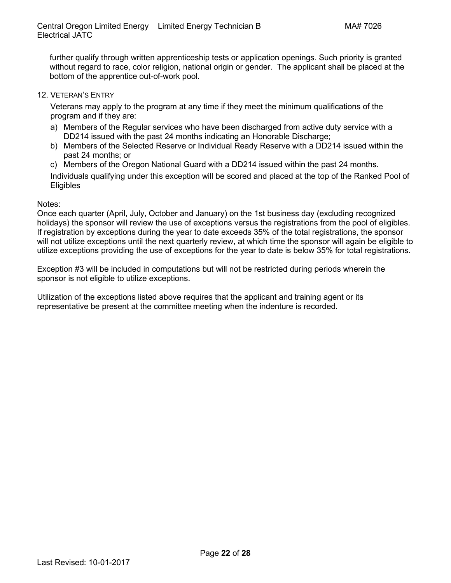further qualify through written apprenticeship tests or application openings. Such priority is granted without regard to race, color religion, national origin or gender. The applicant shall be placed at the bottom of the apprentice out-of-work pool.

12. VETERAN'S ENTRY

Veterans may apply to the program at any time if they meet the minimum qualifications of the program and if they are:

- a) Members of the Regular services who have been discharged from active duty service with a DD214 issued with the past 24 months indicating an Honorable Discharge;
- b) Members of the Selected Reserve or Individual Ready Reserve with a DD214 issued within the past 24 months; or
- c) Members of the Oregon National Guard with a DD214 issued within the past 24 months.

Individuals qualifying under this exception will be scored and placed at the top of the Ranked Pool of Eligibles

Notes:

Once each quarter (April, July, October and January) on the 1st business day (excluding recognized holidays) the sponsor will review the use of exceptions versus the registrations from the pool of eligibles. If registration by exceptions during the year to date exceeds 35% of the total registrations, the sponsor will not utilize exceptions until the next quarterly review, at which time the sponsor will again be eligible to utilize exceptions providing the use of exceptions for the year to date is below 35% for total registrations.

Exception #3 will be included in computations but will not be restricted during periods wherein the sponsor is not eligible to utilize exceptions.

Utilization of the exceptions listed above requires that the applicant and training agent or its representative be present at the committee meeting when the indenture is recorded.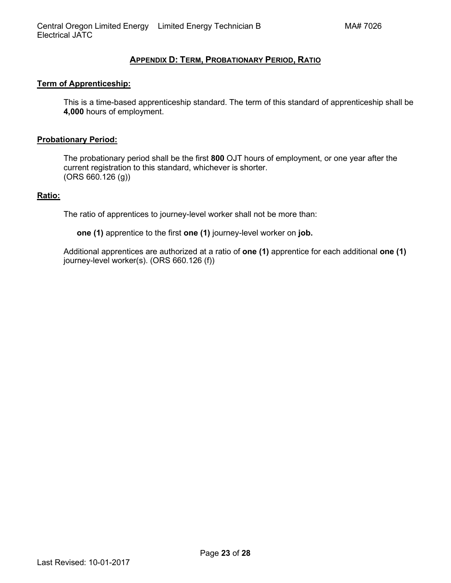# **APPENDIX D: TERM, [PROBATIONARY PERIOD,](#page-1-0) RATIO**

#### <span id="page-22-0"></span>**Term of Apprenticeship:**

This is a time-based apprenticeship standard. The term of this standard of apprenticeship shall be **4,000** hours of employment.

#### **Probationary Period:**

The probationary period shall be the first **800** OJT hours of employment, or one year after the current registration to this standard, whichever is shorter. (ORS 660.126 (g))

#### **Ratio:**

The ratio of apprentices to journey-level worker shall not be more than:

**one (1)** apprentice to the first **one (1)** journey-level worker on **job.**

Additional apprentices are authorized at a ratio of **one (1)** apprentice for each additional **one (1)** journey-level worker(s). (ORS 660.126 (f))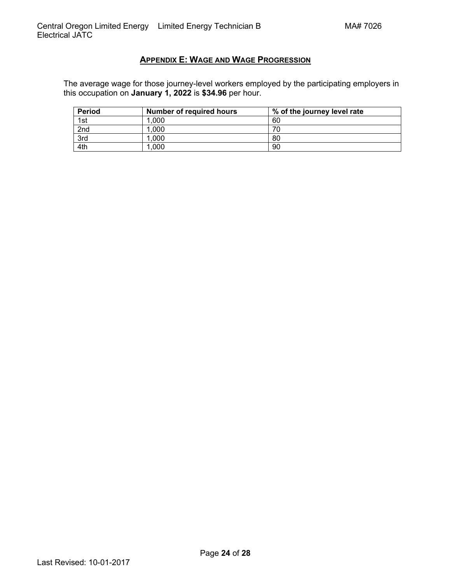# **APPENDIX E: [WAGE AND WAGE PROGRESSION](#page-1-0)**

<span id="page-23-0"></span>The average wage for those journey-level workers employed by the participating employers in this occupation on **January 1, 2022** is **\$34.96** per hour.

| Period | <b>Number of required hours</b> | % of the journey level rate |
|--------|---------------------------------|-----------------------------|
| 1st    | 1.000                           | 60                          |
| 2nd    | .000                            | 70                          |
| 3rd    | .000                            | 80                          |
| 4th    | .000                            | 90                          |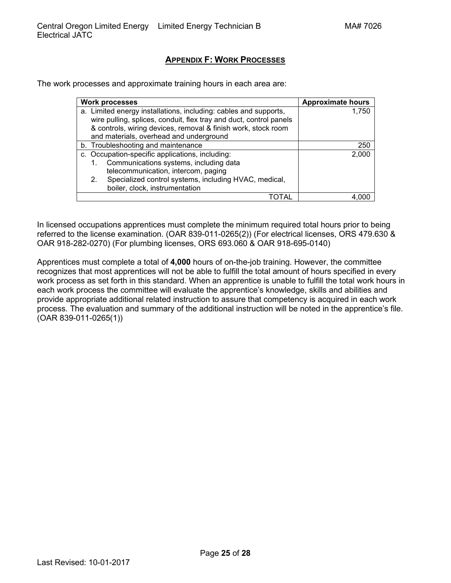# **APPENDIX F: [WORK PROCESSES](#page-1-0)**

<span id="page-24-0"></span>The work processes and approximate training hours in each area are:

| <b>Work processes</b>                                              | <b>Approximate hours</b> |
|--------------------------------------------------------------------|--------------------------|
| a. Limited energy installations, including: cables and supports,   | 1.750                    |
| wire pulling, splices, conduit, flex tray and duct, control panels |                          |
| & controls, wiring devices, removal & finish work, stock room      |                          |
| and materials, overhead and underground                            |                          |
| b. Troubleshooting and maintenance                                 | 250                      |
| c. Occupation-specific applications, including:                    | 2,000                    |
| Communications systems, including data<br>1.                       |                          |
| telecommunication, intercom, paging                                |                          |
| Specialized control systems, including HVAC, medical,<br>2.        |                          |
| boiler, clock, instrumentation                                     |                          |
|                                                                    |                          |

In licensed occupations apprentices must complete the minimum required total hours prior to being referred to the license examination. (OAR 839-011-0265(2)) (For electrical licenses, ORS 479.630 & OAR 918-282-0270) (For plumbing licenses, ORS 693.060 & OAR 918-695-0140)

Apprentices must complete a total of **4,000** hours of on-the-job training. However, the committee recognizes that most apprentices will not be able to fulfill the total amount of hours specified in every work process as set forth in this standard. When an apprentice is unable to fulfill the total work hours in each work process the committee will evaluate the apprentice's knowledge, skills and abilities and provide appropriate additional related instruction to assure that competency is acquired in each work process. The evaluation and summary of the additional instruction will be noted in the apprentice's file. (OAR 839-011-0265(1))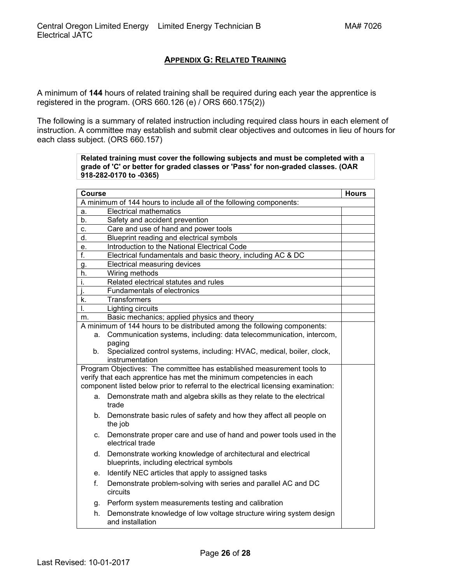# **APPENDIX G: [RELATED TRAINING](#page-1-0)**

<span id="page-25-0"></span>A minimum of **144** hours of related training shall be required during each year the apprentice is registered in the program. (ORS 660.126 (e) / ORS 660.175(2))

The following is a summary of related instruction including required class hours in each element of instruction. A committee may establish and submit clear objectives and outcomes in lieu of hours for each class subject. (ORS 660.157)

> **Related training must cover the following subjects and must be completed with a grade of 'C' or better for graded classes or 'Pass' for non-graded classes. (OAR 918-282-0170 to -0365)**

| <b>Course</b>                                                      |                                                                                   | <b>Hours</b> |  |
|--------------------------------------------------------------------|-----------------------------------------------------------------------------------|--------------|--|
| A minimum of 144 hours to include all of the following components: |                                                                                   |              |  |
| a.                                                                 | <b>Electrical mathematics</b>                                                     |              |  |
| b.                                                                 | Safety and accident prevention                                                    |              |  |
| C.                                                                 | Care and use of hand and power tools                                              |              |  |
| d.                                                                 | Blueprint reading and electrical symbols                                          |              |  |
| е.                                                                 | Introduction to the National Electrical Code                                      |              |  |
| f.                                                                 | Electrical fundamentals and basic theory, including AC & DC                       |              |  |
| g.                                                                 | Electrical measuring devices                                                      |              |  |
| h.                                                                 | Wiring methods                                                                    |              |  |
| i.                                                                 | Related electrical statutes and rules                                             |              |  |
| j.                                                                 | <b>Fundamentals of electronics</b>                                                |              |  |
| k.                                                                 | <b>Transformers</b>                                                               |              |  |
| I.                                                                 | Lighting circuits                                                                 |              |  |
| m.                                                                 | Basic mechanics; applied physics and theory                                       |              |  |
|                                                                    | A minimum of 144 hours to be distributed among the following components:          |              |  |
| а.                                                                 | Communication systems, including: data telecommunication, intercom,               |              |  |
|                                                                    | paging                                                                            |              |  |
| b.                                                                 | Specialized control systems, including: HVAC, medical, boiler, clock,             |              |  |
|                                                                    | instrumentation                                                                   |              |  |
|                                                                    | Program Objectives: The committee has established measurement tools to            |              |  |
|                                                                    | verify that each apprentice has met the minimum competencies in each              |              |  |
|                                                                    | component listed below prior to referral to the electrical licensing examination: |              |  |
| а.                                                                 | Demonstrate math and algebra skills as they relate to the electrical              |              |  |
|                                                                    | trade                                                                             |              |  |
| b.                                                                 | Demonstrate basic rules of safety and how they affect all people on<br>the job    |              |  |
| C.                                                                 | Demonstrate proper care and use of hand and power tools used in the               |              |  |
|                                                                    | electrical trade                                                                  |              |  |
| d.                                                                 | Demonstrate working knowledge of architectural and electrical                     |              |  |
|                                                                    | blueprints, including electrical symbols                                          |              |  |
| е.                                                                 | Identify NEC articles that apply to assigned tasks                                |              |  |
| f.                                                                 | Demonstrate problem-solving with series and parallel AC and DC<br>circuits        |              |  |
| g.                                                                 | Perform system measurements testing and calibration                               |              |  |
| h.                                                                 | Demonstrate knowledge of low voltage structure wiring system design               |              |  |
|                                                                    | and installation                                                                  |              |  |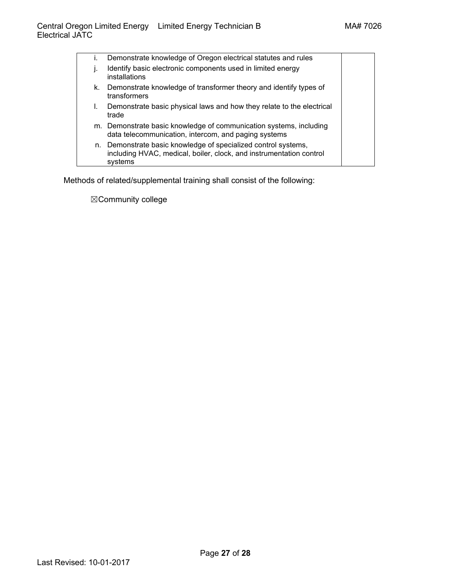| Τ. | Demonstrate knowledge of Oregon electrical statutes and rules                                                                                 |  |
|----|-----------------------------------------------------------------------------------------------------------------------------------------------|--|
|    | Identify basic electronic components used in limited energy<br>installations                                                                  |  |
| k. | Demonstrate knowledge of transformer theory and identify types of<br>transformers                                                             |  |
| I. | Demonstrate basic physical laws and how they relate to the electrical<br>trade                                                                |  |
|    | m. Demonstrate basic knowledge of communication systems, including<br>data telecommunication, intercom, and paging systems                    |  |
| n. | Demonstrate basic knowledge of specialized control systems,<br>including HVAC, medical, boiler, clock, and instrumentation control<br>systems |  |

Methods of related/supplemental training shall consist of the following:

☒Community college